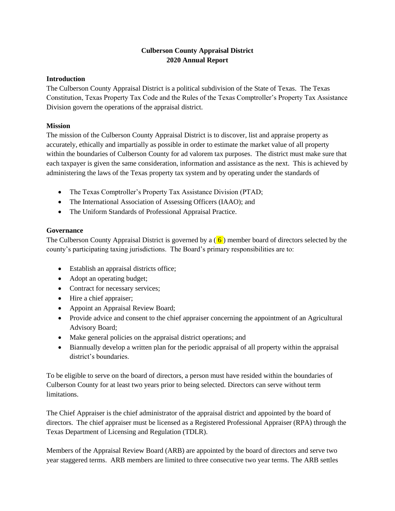# **Culberson County Appraisal District 2020 Annual Report**

#### **Introduction**

The Culberson County Appraisal District is a political subdivision of the State of Texas. The Texas Constitution, Texas Property Tax Code and the Rules of the Texas Comptroller's Property Tax Assistance Division govern the operations of the appraisal district.

## **Mission**

The mission of the Culberson County Appraisal District is to discover, list and appraise property as accurately, ethically and impartially as possible in order to estimate the market value of all property within the boundaries of Culberson County for ad valorem tax purposes. The district must make sure that each taxpayer is given the same consideration, information and assistance as the next. This is achieved by administering the laws of the Texas property tax system and by operating under the standards of

- The Texas Comptroller's Property Tax Assistance Division (PTAD;
- The International Association of Assessing Officers (IAAO); and
- The Uniform Standards of Professional Appraisal Practice.

## **Governance**

The Culberson County Appraisal District is governed by a  $(6)$  member board of directors selected by the county's participating taxing jurisdictions. The Board's primary responsibilities are to:

- Establish an appraisal districts office;
- Adopt an operating budget;
- Contract for necessary services;
- Hire a chief appraiser;
- Appoint an Appraisal Review Board;
- Provide advice and consent to the chief appraiser concerning the appointment of an Agricultural Advisory Board;
- Make general policies on the appraisal district operations; and
- Biannually develop a written plan for the periodic appraisal of all property within the appraisal district's boundaries.

To be eligible to serve on the board of directors, a person must have resided within the boundaries of Culberson County for at least two years prior to being selected. Directors can serve without term limitations.

The Chief Appraiser is the chief administrator of the appraisal district and appointed by the board of directors. The chief appraiser must be licensed as a Registered Professional Appraiser (RPA) through the Texas Department of Licensing and Regulation (TDLR).

Members of the Appraisal Review Board (ARB) are appointed by the board of directors and serve two year staggered terms. ARB members are limited to three consecutive two year terms. The ARB settles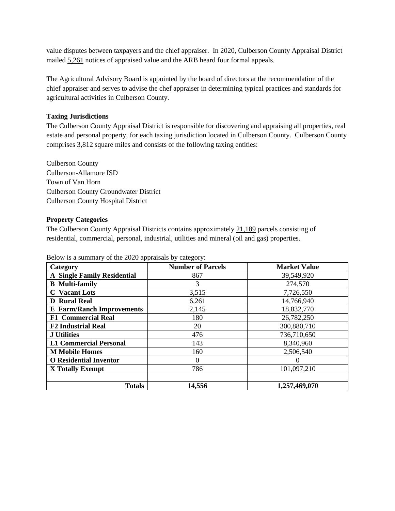value disputes between taxpayers and the chief appraiser. In 2020, Culberson County Appraisal District mailed 5,261 notices of appraised value and the ARB heard four formal appeals.

The Agricultural Advisory Board is appointed by the board of directors at the recommendation of the chief appraiser and serves to advise the chef appraiser in determining typical practices and standards for agricultural activities in Culberson County.

## **Taxing Jurisdictions**

The Culberson County Appraisal District is responsible for discovering and appraising all properties, real estate and personal property, for each taxing jurisdiction located in Culberson County. Culberson County comprises 3,812 square miles and consists of the following taxing entities:

Culberson County Culberson-Allamore ISD Town of Van Horn Culberson County Groundwater District Culberson County Hospital District

#### **Property Categories**

The Culberson County Appraisal Districts contains approximately 21,189 parcels consisting of residential, commercial, personal, industrial, utilities and mineral (oil and gas) properties.

| Category                           | <b>Number of Parcels</b> | <b>Market Value</b> |
|------------------------------------|--------------------------|---------------------|
| <b>A Single Family Residential</b> | 867                      | 39,549,920          |
| <b>B</b> Multi-family              | 3                        | 274,570             |
| <b>C</b> Vacant Lots               | 3,515                    | 7,726,550           |
| <b>D</b> Rural Real                | 6,261                    | 14,766,940          |
| <b>E</b> Farm/Ranch Improvements   | 2,145                    | 18,832,770          |
| <b>F1 Commercial Real</b>          | 180                      | 26,782,250          |
| <b>F2 Industrial Real</b>          | 20                       | 300,880,710         |
| <b>J</b> Utilities                 | 476                      | 736,710,650         |
| <b>L1 Commercial Personal</b>      | 143                      | 8,340,960           |
| <b>M</b> Mobile Homes              | 160                      | 2,506,540           |
| <b>O</b> Residential Inventor      |                          | 0                   |
| X Totally Exempt                   | 786                      | 101,097,210         |
|                                    |                          |                     |
| <b>Totals</b>                      | 14,556                   | 1,257,469,070       |

Below is a summary of the 2020 appraisals by category: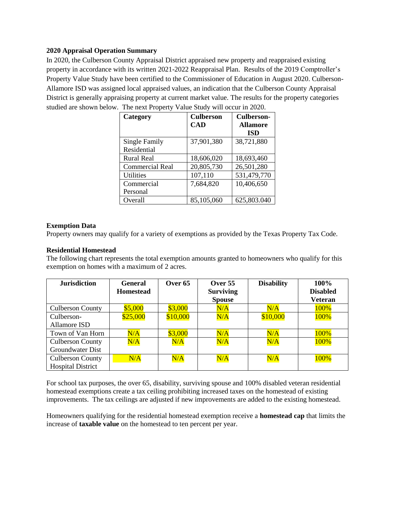#### **2020 Appraisal Operation Summary**

In 2020, the Culberson County Appraisal District appraised new property and reappraised existing property in accordance with its written 2021-2022 Reappraisal Plan. Results of the 2019 Comptroller's Property Value Study have been certified to the Commissioner of Education in August 2020. Culberson-Allamore ISD was assigned local appraised values, an indication that the Culberson County Appraisal District is generally appraising property at current market value. The results for the property categories studied are shown below. The next Property Value Study will occur in 2020.

| Category               | <b>Culberson</b> | <b>Culberson-</b> |
|------------------------|------------------|-------------------|
|                        | <b>CAD</b>       | <b>Allamore</b>   |
|                        |                  | <b>ISD</b>        |
| Single Family          | 37,901,380       | 38,721,880        |
| Residential            |                  |                   |
| <b>Rural Real</b>      | 18,606,020       | 18,693,460        |
| <b>Commercial Real</b> | 20,805,730       | 26,501,280        |
| <b>Utilities</b>       | 107,110          | 531,479,770       |
| Commercial             | 7,684,820        | 10,406,650        |
| Personal               |                  |                   |
| Overall                | 85,105,060       | 625,803.040       |

#### **Exemption Data**

Property owners may qualify for a variety of exemptions as provided by the Texas Property Tax Code.

### **Residential Homestead**

The following chart represents the total exemption amounts granted to homeowners who qualify for this exemption on homes with a maximum of 2 acres.

| <b>Jurisdiction</b>      | <b>General</b><br><b>Homestead</b> | Over 65  | Over $55$<br><b>Surviving</b><br><b>Spouse</b> | <b>Disability</b> | <b>100%</b><br><b>Disabled</b><br><b>Veteran</b> |
|--------------------------|------------------------------------|----------|------------------------------------------------|-------------------|--------------------------------------------------|
| <b>Culberson County</b>  | \$5,000                            | \$3,000  | N/A                                            | N/A               | 100%                                             |
|                          |                                    |          |                                                |                   |                                                  |
| Culberson-               | \$25,000                           | \$10,000 | N/A                                            | \$10,000          | 100%                                             |
| Allamore ISD             |                                    |          |                                                |                   |                                                  |
| Town of Van Horn         | N/A                                | \$3,000  | N/A                                            | N/A               | 100%                                             |
| <b>Culberson County</b>  | N/A                                | N/A      | N/A                                            | N/A               | 100%                                             |
| Groundwater Dist         |                                    |          |                                                |                   |                                                  |
| <b>Culberson County</b>  | N/A                                | N/A      | N/A                                            | N/A               | 100%                                             |
| <b>Hospital District</b> |                                    |          |                                                |                   |                                                  |

For school tax purposes, the over 65, disability, surviving spouse and 100% disabled veteran residential homestead exemptions create a tax ceiling prohibiting increased taxes on the homestead of existing improvements. The tax ceilings are adjusted if new improvements are added to the existing homestead.

Homeowners qualifying for the residential homestead exemption receive a **homestead cap** that limits the increase of **taxable value** on the homestead to ten percent per year.